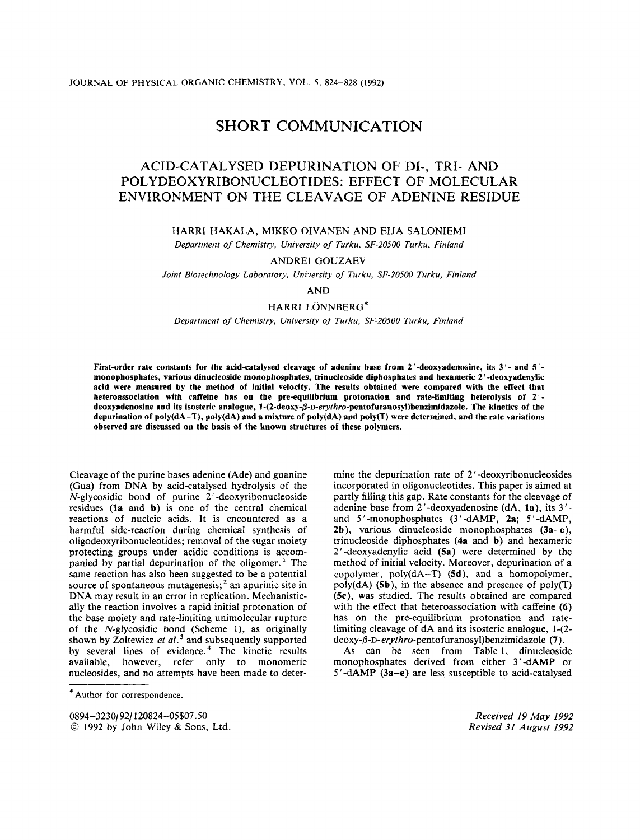# SHORT COMMUNICATION

# ACID-CATALYSED DEPURINATION OF DI-, TRI- **AND**  POLYDEOXYRIBONUCLEOTIDES: EFFECT OF MOLECULAR ENVIRONMENT ON THE CLEAVAGE OF ADENINE RESIDUE

# HARRI HAKALA, MIKKO OIVANEN AND EIJA SALONIEMI

*Department of Chemistry, University of Turku, SF-20500 Turku, Finland* 

# ANDRE1 GOUZAEV

*Joint Biotechnology Laboratory, University of Turku, SF-20500 Turku, Finland* 

AND

### HARRI LÖNNBERG\*

*Department of Chemistry, University of Turku, SF-20500 Turku, Finland* 

**First-order rate constants for the acid-catalysed cleavage of adenine base from** *2* **'-deoxyadenosine, its 3** '- **and** *5* ' **monophosphates, various dinucleoside monophospbates, trinucleoside diphosphates and hexameric** *2* ' **-deoxyadenylic acid were measured by the method of initial velocity. The results obtained were compared with the effect that heteroassociation with caffeine has on the pre-equilibrium protonation and rate-limiting heterolysis of 2** ' deoxyadenosine and its isosteric analogue, 1-(2-deoxy- $\beta$ -D-erythro-pentofuranosyl)benzimidazole. The kinetics of the **depurination of poly(dA-T), poly(dA) and a mixture of poly(dA) and poly(T) were determined, and the rate variations observed are discussed on the basis of the known structures of these polymers.** 

Cleavage of the purine bases adenine (Ade) and guanine (Gua) from DNA by acid-catalysed hydrolysis of the N-glycosidic bond of purine 2 ' -deoxyribonucleoside residues **(la** and **b)** is one of the central chemical reactions of nucleic acids. It is encountered as a harmful side-reaction during chemical synthesis of oligodeoxyribonucleotides; removal of the sugar moiety protecting groups under acidic conditions is accompanied by partial depurination of the oligomer.' The same reaction has also been suggested to be a potential source of spontaneous mutagenesis;<sup>2</sup> an apurinic site in DNA may result in an error in replication. Mechanistically the reaction involves a rapid initial protonation of the base moiety and rate-limiting unimolecular rupture of the  $N$ -glycosidic bond (Scheme 1), as originally shown by Zoltewicz *et al.* and subsequently supported by several lines of evidence.<sup>4</sup> The kinetic results available, however, refer only to monomeric nucleosides, and no attempts have been made to determine the depurination rate of *2'* -deoxyribonucleosides incorporated in oligonucleotides. This paper is aimed at partly filling this gap. Rate constants for the cleavage of adenine base from 2'-deoxyadenosine (dA, **la),** its 3' and 5'-monophosphates (3'-dAMP, **2a;** 5'-dAMP, **2b),** various dinucleoside monophosphates **(3a-e),**  trinucleoside diphosphates **(4a** and **b)** and hexameric **2'** -deoxyadenylic acid **(5a)** were determined by the method of initial velocity. Moreover, depurination of a copolymer, poly(dA-T) **(5d),** and a homopolymer, poly(dA) **(5b),** in the absence and presence of poly(T) (5c), was studied. The results obtained are compared with the effect that heteroassociation with caffeine **(6)**  has on the pre-equilibrium protonation and ratelimiting cleavage of dA and its isosteric analogue, I-(2 **deoxy-0-D-erythro-pentofuranosy1)benzimidazole (7).** 

As can be seen from Table 1, dinucleoside monophosphates derived from either **3** ' -dAMP or **<sup>5</sup>**' -dAMP **(3a-e)** are less susceptible to acid-catalysed

> *Received I9 May 1992 Revised 31 August I992*

<sup>\*</sup> **Author** for correspondence.

**<sup>0894-3230/92/120824-05\$07.50</sup>** 

*<sup>0</sup>* 1992 by John Wiley & Sons, Ltd.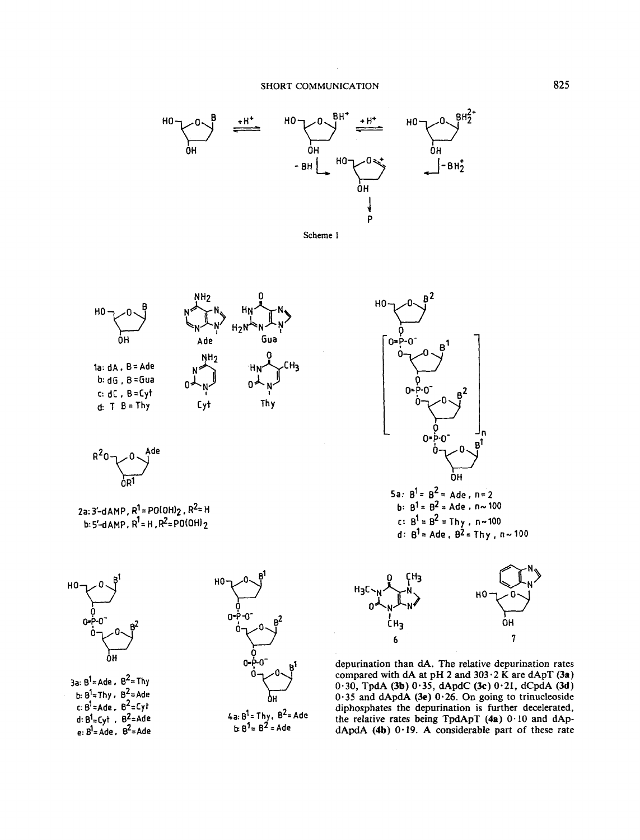







2a: 3'-dAMP,  $R^1 = PO(OH)_2$ ,  $R^2 = H$ <br>b: 5'-dAMP,  $R^1 = H$ ,  $R^2 = PO(OH)_2$ 



3a:  $B^1$ = Ade,  $B^2$ = Thy b:  $B^1$ = Thy.  $B^2$ = Ade c:  $B^1 = Ade$ .  $B^2 = Cyt$ <br>d:  $B^1 = Cyt$ .  $B^2 = Ade$ <br>e:  $B^1 = Ade$ .  $B^2 = Ade$ 



 $4a: B^1 = Thy. B^2 = Ade$ <br> $b: B^1 = B^2 = Ade$ 



depurination than dA. The relative depurination rates compared with dA at pH 2 and  $303 \cdot 2$  K are dApT (3a)  $0.30$ , TpdA (3b)  $0.35$ , dApdC (3c)  $0.21$ , dCpdA (3d)  $0.35$  and dApdA (3e)  $0.26$ . On going to trinucleoside diphosphates the depurination is further decelerated, the relative rates being TpdApT (4a) 0.10 and dApdApdA (4b) 0.19. A considerable part of these rate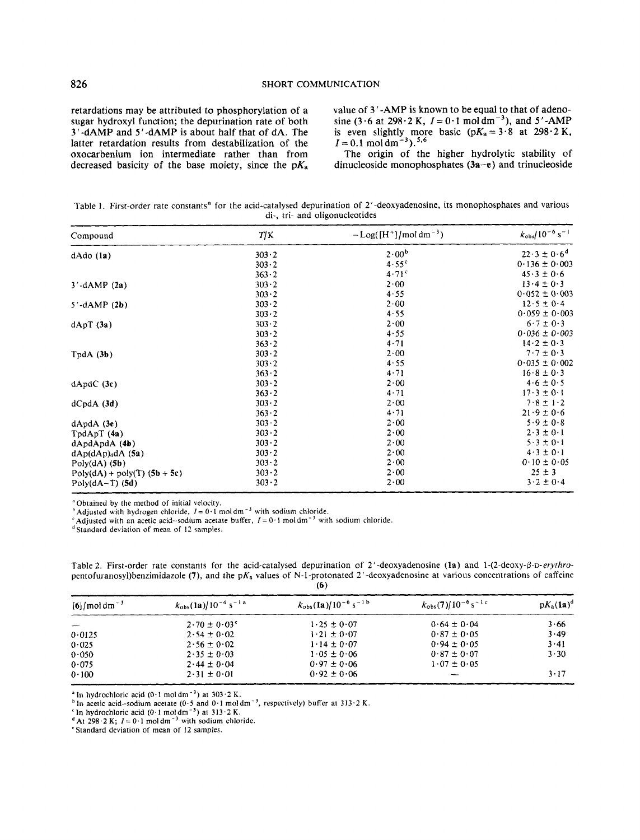retardations may be attributed to phosphorylation of a value of 3'-AMP is known to be equal to that of adeno-<br>sugar hydroxyl function; the depurination rate of both sine (3.6 at 298.2 K,  $I = 0.1$  moldm<sup>-3</sup>), and 5'-AMP latter retardation results from destabilization of the  $I = 0.1 \text{ mol dm}^{-3}$ . <sup>5,6</sup><br>oxocarbenium ion intermediate rather than from The origin of the higher hydrolytic stability of oxocarbenium ion intermediate rather than from

sugar hydroxyl function; the depurination rate of both sine  $(3.6$  at  $298.2$  K,  $I = 0.1$  moldm<sup>-3</sup>), and 5'-AMP  $3'$ -dAMP is about half that of dA. The is even slightly more basic  $(pK_a = 3.8$  at  $298.2$  K, is even slightly more basic  $(pK_a = 3.8)$  at 298.2 K,  $I = 0.1$  moldm<sup>-3</sup>).<sup>5,6</sup>

decreased basicity of the base moiety, since the  $pK_a$  dinucleoside monophosphates  $(3a-e)$  and trinucleoside

Table 1. First-order rate constants<sup>a</sup> for the acid-catalysed depurination of 2'-deoxyadenosine, its monophosphates and various di-, tri- and oligonucleotides

| Compound                       | T/K           | $-Log([H^+]/mol dm^{-3})$ | $k_{\text{obs}}/10^{-6}$ s <sup>-1</sup> |
|--------------------------------|---------------|---------------------------|------------------------------------------|
| $dAdo$ $(la)$                  | $303 \cdot 2$ | $2 \cdot 00^{\rm b}$      | $22.3 \pm 0.6^{d}$                       |
|                                | 303.2         | 4.55 <sup>c</sup>         | $0.136 \pm 0.003$                        |
|                                | $363 \cdot 2$ | 4.71 <sup>c</sup>         | $45.3 \pm 0.6$                           |
| $3'$ -dAMP $(2a)$              | $303 - 2$     | $2 \cdot 00$              | $13.4 \pm 0.3$                           |
|                                | $303 - 2$     | 4.55                      | $0.052 \pm 0.003$                        |
| $5'$ -dAMP $(2b)$              | $303 - 2$     | 2.00                      | $12.5 \pm 0.4$                           |
|                                | $303 - 2$     | 4.55                      | $0.059 \pm 0.003$                        |
| dApT(3a)                       | $303 - 2$     | 2.00                      | $6.7 \pm 0.3$                            |
|                                | $303 - 2$     | 4.55                      | $0.036 \pm 0.003$                        |
|                                | $363 - 2$     | 4.71                      | $14.2 \pm 0.3$                           |
| TpdA(3b)                       | $303 - 2$     | $2 - 00$                  | $7.7 \pm 0.3$                            |
|                                | $303 \cdot 2$ | 4.55                      | $0.035 \pm 0.002$                        |
|                                | $363 - 2$     | 4.71                      | $16.8 \pm 0.3$                           |
| dApdC(3c)                      | 303.2         | 2.00                      | $4.6 \pm 0.5$                            |
|                                | 363.2         | 4.71                      | $17.3 \pm 0.1$                           |
| $dCpdA$ (3d)                   | $303 \cdot 2$ | $2 \cdot 00$              | $7.8 \pm 1.2$                            |
|                                | $363 - 2$     | 4.71                      | $21.9 \pm 0.6$                           |
| $dApdA$ (3e)                   | $303 - 2$     | 2.00                      | $5.9 \pm 0.8$                            |
| TpdApT(4a)                     | 303.2         | 2.00                      | $2 \cdot 3 \pm 0 \cdot 1$                |
| dApdApdA (4b)                  | 303.2         | 2.00                      | $5.3 \pm 0.1$                            |
| dAp(dAp) <sub>4</sub> dA (5a)  | $303 \cdot 2$ | 2.00                      | $4.3 \pm 0.1$                            |
| Poly $(dA)$ (5b)               | $303 - 2$     | 2.00                      | $0.10 \pm 0.05$                          |
| $Poly(dA) + poly(T)$ (5b + 5c) | $303 - 2$     | $2 - 00$                  | $25 \pm 3$                               |
| Poly $(dA-T)$ (5d)             | $303 - 2$     | $2 \cdot 00$              | $3.2 \pm 0.4$                            |

**"Obtained by the method** of **initial velocity.** 

**h**Adjusted with hydrogen chloride,  $I = 0.1$  moldm<sup>-3</sup> with sodium chloride.

<sup>c</sup> Adjusted with an acetic acid-sodium acetate buffer,  $I = 0.1$  moldm<sup>-3</sup> with sodium chloride.

~~ ~

**'Standard deviation** of **mean of 12 samples.** 

| 1 V 7                       |                                                |                                               |                                               |              |  |  |
|-----------------------------|------------------------------------------------|-----------------------------------------------|-----------------------------------------------|--------------|--|--|
| $[6]$ /mol dm <sup>-3</sup> | $k_{\text{obs}}(1a)/10^{-4}$ s <sup>-1 a</sup> | $k_{\text{obs}}(1a)/10^{-6}$ s <sup>-1b</sup> | $k_{\text{obs}}(7)/10^{-6}$ s <sup>-1 c</sup> | $pK_a(1a)^d$ |  |  |
|                             | $2.70 \pm 0.03$ <sup>e</sup>                   | $1.25 \pm 0.07$                               | $0.64 \pm 0.04$                               | 3.66         |  |  |
| 0.0125                      | $2.54 \pm 0.02$                                | $1.21 \pm 0.07$                               | $0.87 \pm 0.05$                               | 3.49         |  |  |
| 0.025                       | $2.56 \pm 0.02$                                | $1.14 \pm 0.07$                               | $0.94 \pm 0.05$                               | 3.41         |  |  |
| 0.050                       | $2.35 \pm 0.03$                                | $1.05 \pm 0.06$                               | $0.87 \pm 0.07$                               | 3.30         |  |  |
| 0.075                       | $2.44 \pm 0.04$                                | $0.97 \pm 0.06$                               | $1.07 \pm 0.05$                               |              |  |  |
| 0.100                       | $2.31 \pm 0.01$                                | $0.92 \pm 0.06$                               |                                               | $3 \cdot 17$ |  |  |

Table 2. First-order rate constants for the acid-catalysed depurination of 2'-deoxyadenosine (1a) and 1-(2-deoxy-ß-D-erythro**pentofuranosy1)benzimidazole (7),** and the pKa values **of** N-1-protonated 2'-deoxyadenosine at various concentrations of caffeine *(6* )

<sup>a</sup> In hydrochloric acid  $(0.1 \text{ mol dm}^{-3})$  at  $303.2 \text{ K}$ .

<sup>h</sup> In acetic acid-sodium acetate (0.5 and 0.1 moldm<sup>-3</sup>, respectively) buffer at 313.2 K.

**'In hydrochloric acid** (0.1 **moldm-') at 313'2 K.** 

**At 298.2 K;**  $I = 0.1$  **moldm<sup>-3</sup>** with sodium chloride.

**'Standard deviation** of **mean** of **12 samples.**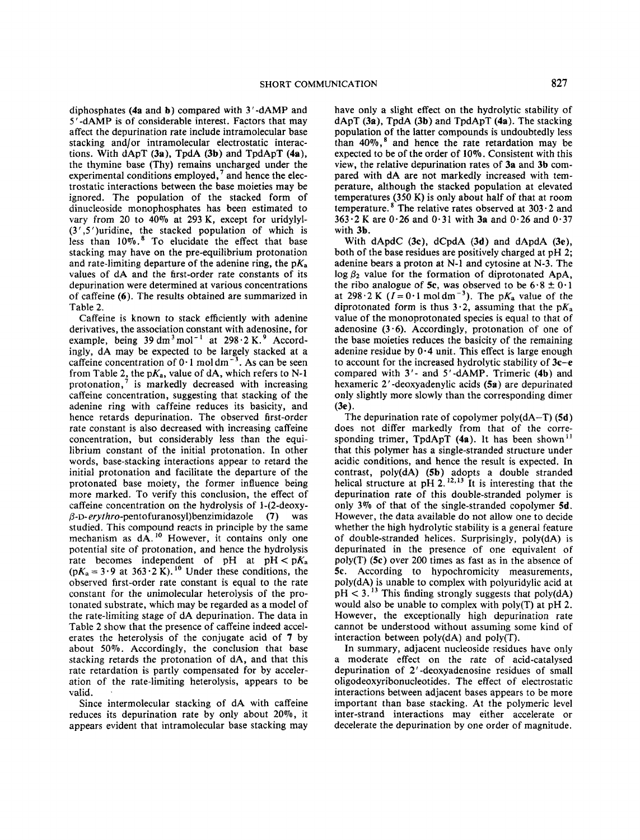diphosphates **(4a** and **b)** compared with 3'-dAMP and 5'-dAMP is of considerable interest. Factors that may affect the depurination rate include intramolecular base stacking and/or intramolecular electrostatic interactions. With dApT **(3a),** TpdA **(3b)** and TpdApT **(4a),**  the thymine base (Thy) remains uncharged under the experimental conditions employed,<sup>7</sup> and hence the electrostatic interactions between the base moieties may be ignored. The population of the stacked form of dinucleoside monophosphates has been estimated to vary from 20 to **40%** at 293 K, except for uridylyl- (3 ' *,5* ')uridine, the stacked population of which is less than 10%.<sup>8</sup> To elucidate the effect that base stacking may have on the pre-equilibrium protonation and rate-limiting departure of the adenine ring, the  $pK_a$ values of dA and the first-order rate constants of its depurination were determined at various concentrations of caffeine **(6).** The results obtained are summarized in Table 2.

Caffeine is known to stack efficiently with adenine derivatives, the association constant with adenosine, for example, being  $39 \text{ dm}^3 \text{ mol}^{-1}$  at  $298 \cdot 2 \text{ K}$ .<sup>9</sup> Accordingly, dA may be expected to be largely stacked at a caffeine concentration of  $0.1$  moldm<sup>-3</sup>. As can be seen from Table 2, the  $pK_a$ , value of dA, which refers to N-1 protonation,' is markedly decreased with increasing caffeine concentration, suggesting that stacking of the adenine ring with caffeine reduces its basicity, and hence retards depurination. The observed first-order rate constant is also decreased with increasing caffeine concentration, but considerably less than the equilibrium constant of the initial protonation. In other words, base-stacking interactions appear to retard the initial protonation and facilitate the departure of the protonated base moiety, the former influence being more marked. To verify this conclusion, the effect of caffeine concentration on the hydrolysis of 1-(2-deoxy-**P-D-erythro-pentofuranosy1)benzimidazole (7)** was studied. This compound reacts in principle by the same mechanism as dA.<sup>10</sup> However, it contains only one potential site of protonation, and hence the hydrolysis rate becomes independent of pH at  $pH < pK_a$  $(pK_a = 3.9$  at  $363.2$  K).<sup>10</sup> Under these conditions, the observed first-order rate constant is equal to the rate constant for the unimolecular heterolysis of the protonated substrate, which may be regarded as a model of the rate-limiting stage of dA depurination. The data in Table **2** show that the presence of caffeine indeed accelerates the heterolysis of the conjugate acid of **7** by about 50%. Accordingly, the conclusion that base stacking retards the protonation of dA, and that this rate retardation is partly compensated for by acceleration of the rate-limiting heterolysis, appears to be valid.

Since intermolecular stacking of dA with caffeine reduces its depurination rate by only about 20%, it appears evident that intramolecular base stacking may

have only a slight effect on the hydrolytic stability of dApT **(3a).** TpdA **(3b)** and TpdApT **(4a).** The stacking population of the latter compounds is undoubtedly less than **40%,\*** and hence the rate retardation may be expected to be of the order of 10%. Consistent with this view, the relative depurination rates of **3a** and **3b** compared with dA are not markedly increased with temperature, although the stacked population at elevated temperatures (350 **K)** is only about half *of* that at room temperature.<sup>8</sup> The relative rates observed at  $303 \cdot 2$  and 363.2 K are 0.26 and 0.31 with **3a** and 0.26 and 0.37 with **3b.** 

With dApdC **(3c),** dCpdA **(3d)** and dApdA **(3e),**  both of the base residues are positively charged at pH 2; adenine bears a proton at **N-1** and cytosine at N-3. The  $\log \beta_2$  value for the formation of diprotonated ApA, the ribo analogue of 5c, was observed to be  $6.8 \pm 0.1$ at 298.2 K ( $I=0.1$  moldm<sup>-3</sup>). The p $K_a$  value of the diprotonated form is thus 3.2, assuming that the  $pK_a$ value of the monoprotonated species is equal to that of adenosine (3.6). Accordingly, protonation of one of the base moieties reduces the basicity of the remaining adenine residue by **0.4** unit. This effect is large enough to account for the increased hydrolytic stability of **3c-e**  compared with 3'- and 5'-dAMP. Trimeric **(4b)** and hexameric 2 ' -deoxyadenylic acids **(5a)** are depurinated only slightly more slowly than the corresponding dimer **(3e 1.** 

The depurination rate of copolymer poly(dA-T) **(5d)**  does not differ markedly from that of the corresponding trimer, TpdApT (4a). It has been shown<sup>11</sup> that this polymer has a single-stranded structure under acidic conditions, and hence the result is expected. In contrast, poly(dA) **(5b)** adopts a double stranded helical structure at pH  $2^{12,13}$  It is interesting that the depurination rate of this double-stranded polymer is only 3% of that of the single-stranded copolymer **5d.**  However, the data available do not allow one to decide whether the high hydrolytic stability is a general feature of double-stranded helices. Surprisingly, poly(dA) is depurinated in the presence of one equivalent of poly(T) *(5c)* over 200 times as fast as in the absence of *5c.* According to hypochromicity measurements, poly(dA) is unable to complex with polyuridylic acid at  $pH < 3$ .<sup>13</sup> This finding strongly suggests that  $poly(dA)$ would also be unable to complex with poly(T) at pH 2. However, the exceptionally high depurination rate cannot be understood without assuming some kind of interaction between poly(dA) and poly(T).

In summary, adjacent nucleoside residues have only a moderate effect on the rate of acid-catalysed depurination of 2'-deoxyadenosine residues of small oligodeoxyribonucleotides. The effect of electrostatic interactions between adjacent bases appears to be more important than base stacking. At the polymeric level inter-strand interactions may either accelerate or decelerate the depurination by one order of magnitude.